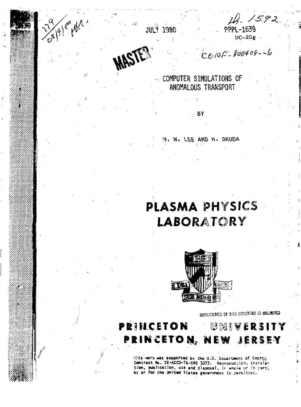Ale Mr

**JULY 1980** 





 $COOP-800409-6$ 

COMPUTER SIMULATIONS OF ANOMALOUS TRANSPORT

BY

LEE AND H. OKUDA

# PLASMA PHYSICS **LABORATORY**



**GISTRICUTION OF THIS GOODMENT IS UNLEMPTED** 

## **PRINCETON** UMIVERSITY PRINCETON, NEW JERSEY

Wis work was supported by the U.S. Decartment of Energy. Contract No. DE-AC02-76-CHO 3073. Reproduction, translation, publication, use and disposal, ir whole or in part,<br>by or for the United States government is permisted.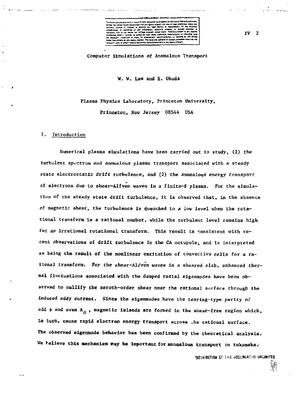**Computer Simulations of Anomalous Transport** 

**W, W. Lee and E. Okuda** 

# **Plasma Physics Laboratory, Princeton University, Princeton, New Jersey 08544 USA**

#### **Introduction**

**Numerical plasma simulations have been carried out to study, (1) the turbulent spectrum and anomalous plasma transport associated with a steady state electrostatic drift turbulence, and (2) the anomalous energy transport of electrons due to shear-Alfven waves in a finite-B plasma. For the simulation of the steady state drift turbulence, it is observed that, in the absence of magnetic shear, the turbulence is quenched to a low level when the rotational transform is a rational number, while the turbulent level remains high for an irrational rotational transform. This result is consistent with recent Observations of drift turbulence in the GA octupole, and is interpreted as being the result of the nonlinear excitation of convective cells for a rational transform. For the ehear-Alfven waves In a sheared slab, enhanced thermal fluctuations associated with the damped radial elgenmodes have been observed to nullify the zeroth-order shear near the rational surface through the induced eddy current. Since the eigenmodes have the tearing-type parity of odd** *if* **and even** *h^ ,* **magnetic islands are formed in the shear-free region which, in turn, cause rapid electron energy transport across .he rational surface. The observed eigennode behavior has been confirmed by the theoretical analysis.**  We helieve this mechanism way be important for anomalous transport in tokamaks.

*RISTRIBUTION OF THIS DOCUMENT IS UNLIMITED* 

**IV 2**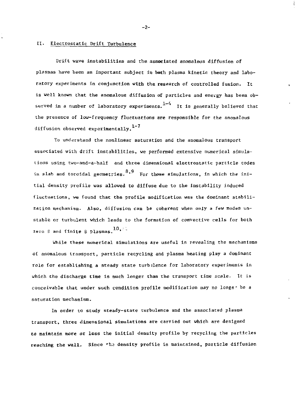#### II. Electrostatic Drift Turbulence

Drift wave instabilities and the associated anomalous diffusion of plasmas have been an important subject in both plasma kinetic theory and laboratory experiments in conjunction with the research of controlled fusion. It is well known that the anomalous diffusion of particles and energy has been observed in a number of laboratory experiments. $^{1-4}$  It is generally believed that the presence of low-frequency fluctuations are responsible for the anomalous diffusion observed experimentally.<sup>1-7</sup>

To understand the nonlinear saturation and the anomalous transport associated with drift instabilities, we performed extensive numerical simulations using two-and-a-half and three dimensional electrostatic particle codes in slab and toroidal geometries.  $8,9$  For those simulations, in which the initial density profile was allowed to diffuse due to the instability induced fluctuations, we found that the profile modification was the dominant stabilization mechanism. Also, diffusion can be coherent when only a few modes unstable or turbulent which leads to the formation of convective cells for both zero  $\beta$  and finite  $\beta$  plasmas.  $10$ ,

While these numerical simulations are useful in revealing the mechanisms of anomalous transport, particle recycling and plasma heating play a dominant role for establishing a steady state turbilence for laboratory experiments in which the discharge time is much longer than the transport time scale. It is conceivable that under such condition profile modification may no longe- be a saturation mechanism.

In order to study steady-state turbulence and the associated plasma transport, three dimensional simulations are carried out which are designed to maintain more or less the initial density profile by recycling the particles reaching the wall. Since the density profile is maintained, particle diffusion

-2-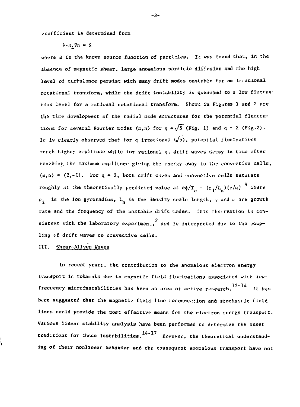coefficient is determined from

 $\nabla \cdot D, \nabla n = S$ 

where S is the known source function of particles. It was found that, in the absence of magnetic shear, large anomalous particle diffusion and the high level of turbulence persist with many drift modes unstable for an irrational rotational transform, while the drift instability is quenched to a low fluctuation level for a rational rotational transform. Shown in Figures 1 and 2 are the time development of the radial mode structures for the potential fluctuations for several Fourier modes  $(m, n)$  for  $q = \sqrt{5}$  (Fig. 1) and  $q = 2$  (Fig. 2). It is clearly observed that for q irrational  $(\sqrt{5})$ , potential fluctuations reach higher amplitude while for rational q, drift waves decay in time after reaching the maximum amplitude giving the energy away to the convectlve cells,  $(m,n) = (2,-1)$ . For q = 2, both drift waves and convective cells saturate roughly at the theoretically predicted value at  $e\phi/T_{\rho} = (\rho_{1}/L_{n})(\gamma/\omega)^{-9}$  where  $\rho$ <sub>i</sub> is the ion gyroradius, L<sub>n</sub> is the density scale length,  $\gamma$  and  $\omega$  are growth rate and the frequency of the unstable drift modes. This observation is consistent with the laboratory experiment,  $^{2}$  and is interpreted due to the coupling of drift waves to convective cells.

## lil. Shear-Alfven Waves

In recent years, the contribution to the anomalous electron energy transport in tokamaks due to magnetic field fluctuations associated with lowfrequency microinstabilities has been an area of active research.  $12-14$  It has been suggested that the magnetic field line reconnection and stochastic field lines covld provide the cost effective means for the electron energy transport. Various linear stability analysis have been performed to determine the onset conditions for those instabilities.  $14-17$  However, the theoretical understanding of their nonlinear behavior and the consequent anomalous transport have not

3-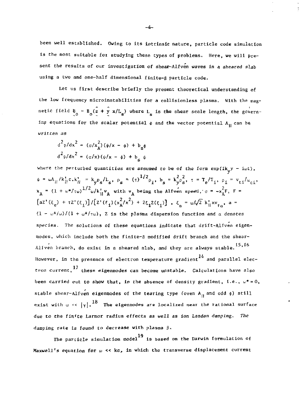been well established. Owing to its intrinsic nature, particle code simulation is the most suitable for studying these types of problems. Here, we will present the results of our investigation of shear-Alfven waves in a sheared slab using a two and one-half dimensional finite-8 particle code.

Let us first describe briefly the present theoretical understanding of the low frequency microinstabilities for a collisionless plasma. With the magnetic field  $B_0 = B_0 (z + y x/L_s)$  where  $L_s$  is the shear scale length, the governing equations for the scalar potential  $\phi$  and the vector potential  $A_{ij}$  can be *written as* 

$$
d^{2}\varphi/dx^{2} = (\sigma/x_{A}^{2})(\psi/x - \phi) + b_{s}\phi
$$
  

$$
d^{2}\psi/dx^{2} = (\sigma/x)(\psi/x - \phi) + b_{s}\psi
$$

where the perturbed quantities are assumed to be of the form  $exp(ik_{y}y - i\omega t)$ ,  $\psi = \omega A_{||}/k_{||}^{\dagger} c_{,\kappa} k_{||}^{\dagger} = k_{\gamma} p_{s}/l_{s}, \ \rho_{s} = (\tau)^{1/2} \rho_{i}, \ b_{s} = k_{\gamma}^{2} \rho_{s}^2, \ \tau = T_{e}/T_{i}, \ \rho_{i} = v_{ti}/\omega_{ci},$  $x_A$  - (1 + ω  $\gamma$  tω) wik<sub>ij</sub>v<sub>A</sub> with v<sub>A</sub> being the Alfven speed,  $\sigma$  =  $-x_A^R$ , f  $[az'(\xi_e) + \tau z'(\xi_i)]/[z'(\xi_i)(x_A^2/x^2) + 2\xi_iZ(\xi_i)]$ ,  $\xi_a = \omega/\sqrt{2}k'_i xv_{\text{to}}$ , a =  $(1 - \omega^*/\omega)/(1 + \omega^*/\tau\omega)$ , Z is the plasma dispersion function and  $\alpha$  denotes *species.* The solutions of these equations indicate that drift-Alfven eigenmodes, which include both the finite-g modified drift branch and the shear-Alfven branch, do exist in a sheared slab, and they are always stable. <sup>15,16</sup> However, in the presence of electron temperature gradient<sup>14</sup> and parallel elec- $\frac{17}{2}$  in the presence of electron temperature gradient and parallel electron temperature gradient and parallel electron current, these eigenmodes can become unstable. Calculations have also been carried out to show that, in the absence of density gradient, i.e., *u\* -* 0, stable shear-Alfven eigenmodes of the tearing type (even  $A_{11}$  and odd  $\phi$ ) still exist with  $\omega \ll |\gamma|$ . <sup>18</sup> The eigenmodes are localized near the rational surface due to the finite Larmor radius effects as well as ion Landan *damping. The*  damping rate Is found *to* decrease with plasma

19 The particle simulation model is based on the Darwin formalisation of Maxwell's equation for  $\omega \ll \kappa c$ , in which the transverse displacement current

$$
-4-
$$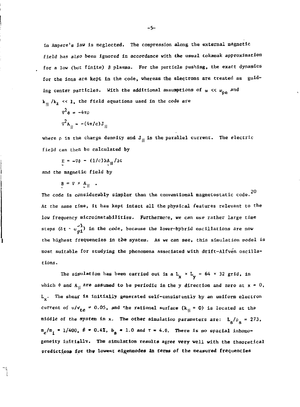in Ampere's law is neglected. The compression along the external magnetic field has also been ignored in accordance with the usual tokamak approximation for a low (but finite) B plasma. For the particle pushing, the exact dynamics for the ions are kept in the code, whereas the electrons are treated as guiding center particles. With the additional assumptions of  $\omega$  <<  $\omega_{\bf p e}$  and  $k_{\rm H}$  /k<sub>1</sub>  $\ll$  1, the field equations used in the code are

$$
\nabla^2 \phi = -4\pi\rho
$$

$$
\nabla^2 A_{II} = -(4\pi/c)J_{II}
$$

where  $\rho$  is the charge density and  $J_{ij}$  is the parallel current. The electric field can then be calculated by

$$
E = -\nabla \phi - (1/c) \partial A_{\rm H} / \partial t
$$

and the magnetic field by

 $B = \nabla \times A_{||}$  .

The code is considerably simpler than the conventional magnetostatic code.  $^{20}$ At the same time, it has kept intact all the physical features relevant to the low frequency microinstabilities. Furthermore, we can use rather large time steps ( $\Delta t \sim \omega_{\text{nl}}^{-1}$ ) in the code, because the lover-hybrid oscillations are now the highest frequencies in the system. As we can see, this simulation model is most suitable for studying the phenomena associated with drift-Alfven oscillations.

The simulation has been carried out in a  $L_x \times L_y = 64 \times 32$  grid, in which  $\phi$  and A<sub>11</sub> are assumed to be periodic in the y direction and zero at  $x = 0$ ,  $L_v$ . The shear is initially generated self-consistently by an uniform electron current of  $u/v_{te} = 0.05$ , and the rational surface  $(k_{\rm H} = 0)$  is located at the middle of the system in x. The other simulation parameters are:  $L_s/\rho_g = 273$ , middle of the system in x. The other Simulation parameters are: L /p = 273, inhor geneity initially. The simulation results agree very well with the theoretical predictions for the lowest eigenmodes in terms of the measured frequencies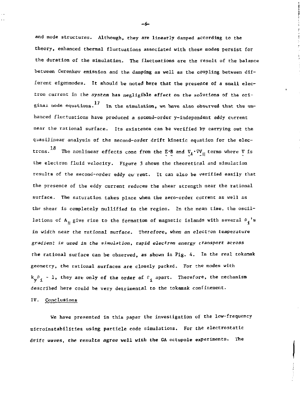and mode structures. Although, they are linearly damped according to the theory, enhanced thermal fluctuations associated with these modes persist for the duration of the simulation. The fluctuations are the result of the balance between Cerenkov emission and the damping as well as the coupling between different eigenmodes. It should be noted here that the presence of a small electron current in the system has negligible effect on the solutions of the criginal mode equations.  $^{17}$  In the simulation, we have also observed that the enhanced fluctuations have produced a second-order y-independent eddy current near the rational surface. Its existence can be verified by carrying out the quasi]inear analysis of the second-order drift kinetic equation for the electrcns. $^{18}$  The nonlinear effects come from the E\*B and V $_{\textbf{t}} \cdot \triangledown \textbf{v}_{_{\text{H}}}$  terms where V is the electron fluid velocity. Figure 3 shows the theoretical and simulation results of the second-order eddy cu' rent. It can also be verified easily that the presence of the eddy current reduces the shear strength near the rational surface. The saturation takes place when the zero-order current as well as the shear is completely nullified in the region. In the mean time, the oscillations of A<sub>H</sub> give rise to the formation of magnetic islands with several  $P_i$ 's in width near the rational surface. Therefore, when an electron temperature *gradient is used in* the *simulation, rapid electron energy* transport *across*  the rational surface can be observed, as shown ia Pig. 4. In the real tokanak geometry, the rational surfaces are closely packed. For the modes with  $k_{\bf v}$ <sup>p</sup><sub>1</sub> - 1, they are only of the order of  $F_{\bf i}$  apart. Therefore, the mechanism described here could be very detrimental to the tokamak confinement.

#### IV. Conclusions

We have presented in this paper the investigation of the low-frequency microinstabilities using particle code simulations. For the electrostatic drift waves, the results agree well with the GA octupole experiments. The

*-6-*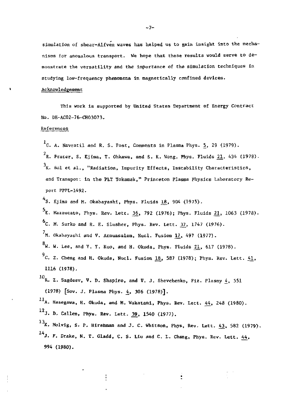simulation of shear-Alfven waves has helped us to gain insight into the mechanisms for anomalous transport. We hope that these results would serve to demonstrate the versatility and the importance of the simulation techniques in studying low-frequency phenomena in magnetically confined devices.

### Acknowledgement

This work is supported by United States Department of Energy Contract No. DE-AC02-76-CHO3O73.

#### References

 $1<sub>G.</sub>$  A. Navratil and R. S. Post, Comments in Plasma Phys. 5, 29 (1979). <sup>2</sup>R. Prater, S. Ejima, T. Ohkawa, and S. K. Wong, Phys. Fluids <u>21</u>, 434 (1978).  $^3$ K. Bol et al., "Radiation, Impurity Effects, Instability Characteristics, and Transport In the PLT Tokamak," Princeton Plasma Physics Laboratory Report PPPL-1492.

<sup>4</sup>S. Ejima and M. Okabayashi, Phys. Fluids <u>18</u>, 904 (1975).  $5$ E. Mazzucato, Phys. Rev. Lett. 36, 792 (1976); Phys. Fluids 21, 1063 (1978).  $6c.$  M. Surko and R. E. Slusher, Phys. Rev. Lett.  $37$ , 1747 (1976).  $N$ . Okabayashi and V. Arnuasalem, Nucl. Fusion 17, 497 (1977).  $^{\text{8}}$ W. W. Lee, and Y. Y. Kuo, and H. Okuda, Phys. Fluids 2<u>1</u>, 617 (1978).  $^9$ C. Z. Cheng and H. Okuda, Nucl. Fusion <u>18</u>, 587 (1978); Phys. Rev. Lett. <u>41</u>, 1116 (1978).  $^{10}$ R. Z. Sagdeev, V. D. Shapiro, and V. J. Shevchenko, Fiz. Plasmy  $\frac{1}{2}$ , 551  $(1978)$  [Sov. J. Plasma Phys. 4, 306 (1978)].  $^{11}$ A. Hasegawa, H. Okuda, and M. Wakatani, Phys. Rev. Lett.  $44$ , 248 (1980). 12 3. *D.* Callen, Phys. Rev. Lett. <u>39</u>, 1340 (1977). 13 K. Molvig, S. P. Hirehman and J. C. Whitson, Phys, Rev. Lett. 43, 382 (1979).

14 J. F. Drake, N. T. Gladd, C. S. Liu and C. L. Chang, Phye. Rev. Lett. 44, 994 (1980).

 $-7-$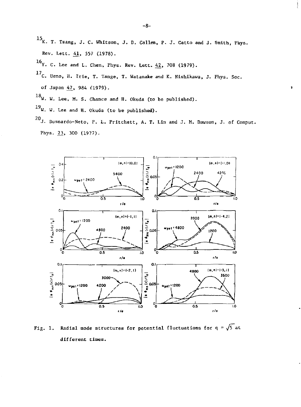- 15<sub>K</sub>. T. Tsang, J. C. Whitson, J. D. Callen, P. J. Catto and J. Smith, Phys. Rev. Lett. 41, 557 (1978).
- 16 $Y$ . C. Lee and L. Chen, Phys. Rev. Lett.  $42$ , 708 (1979).
- 17<sub>C</sub>. Ueno, H. Irie, T. Tange, T. Watanake and K. Nishikawa, J. Phys. Soc. of Japan 47, 984 (1979).
- $18$ W. W. Lee, M. S. Chance and H. Okuda (to be published).
- $^{19}$ W. W. Lee and H. Okuda (to be published).
- 20 J. Busnardo-Neto, P. L. Pritchett, A. T. Lin and J. M. Dawson, J. of Comput. Phys. 23, 300 (1977).



Radial mode structures for potential fluctuations for  $q = \sqrt{5}$  at Fig.  $1.$ different times.